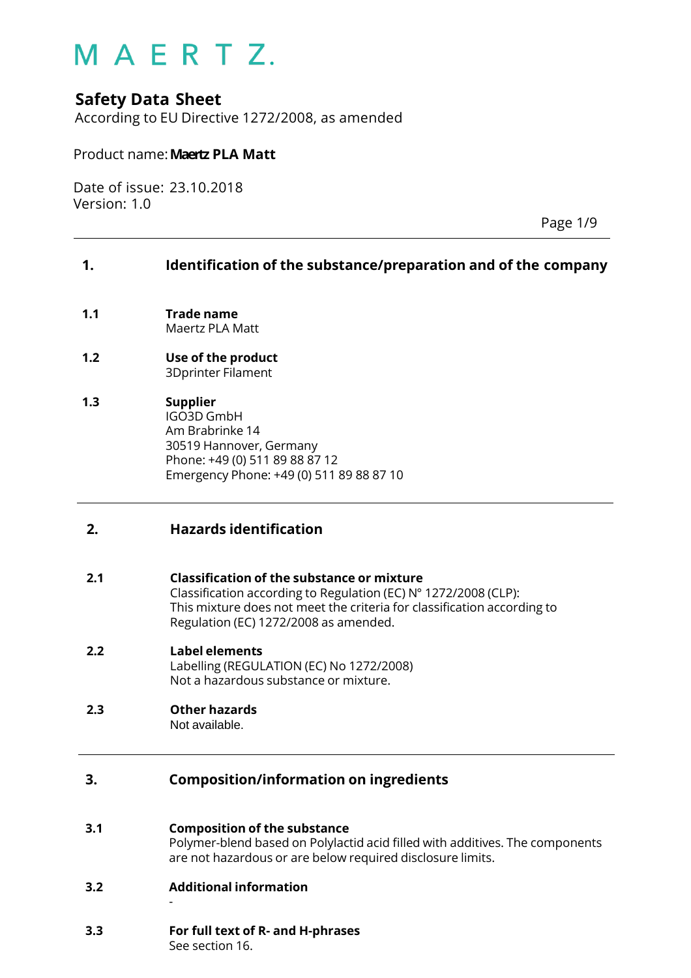### **Safety Data Sheet**

According to EU Directive 1272/2008, as amended

#### Product name:**Maertz PLA Matt**

Date of issue: 23.10.2018 Version: 1.0

Page 1/9

#### **1. Identification of the substance/preparation and of the company**

- **1.1 Trade name** Maertz PLA Matt
- **1.2 Use of the product** 3Dprinter Filament
- **1.3 Supplier** IGO3D GmbH Am Brabrinke 14 30519 Hannover, Germany Phone: +49 (0) 511 89 88 87 12 Emergency Phone: +49 (0) 511 89 88 87 10

#### **2. Hazards identification**

#### **2.1 Classification of the substance or mixture**

Classification according to Regulation (EC) N° 1272/2008 (CLP): This mixture does not meet the criteria for classification according to Regulation (EC) 1272/2008 as amended.

**2.2 Label elements** Labelling (REGULATION (EC) No 1272/2008) Not a hazardous substance or mixture.

#### **2.3 Other hazards** Not available.

#### **3. Composition/information on ingredients**

#### **3.1 Composition of the substance**

Polymer-blend based on Polylactid acid filled with additives. The components are not hazardous or are below required disclosure limits.

**3.2 Additional information**

-

### **3.3 For full text of R- and H-phrases**

See section 16.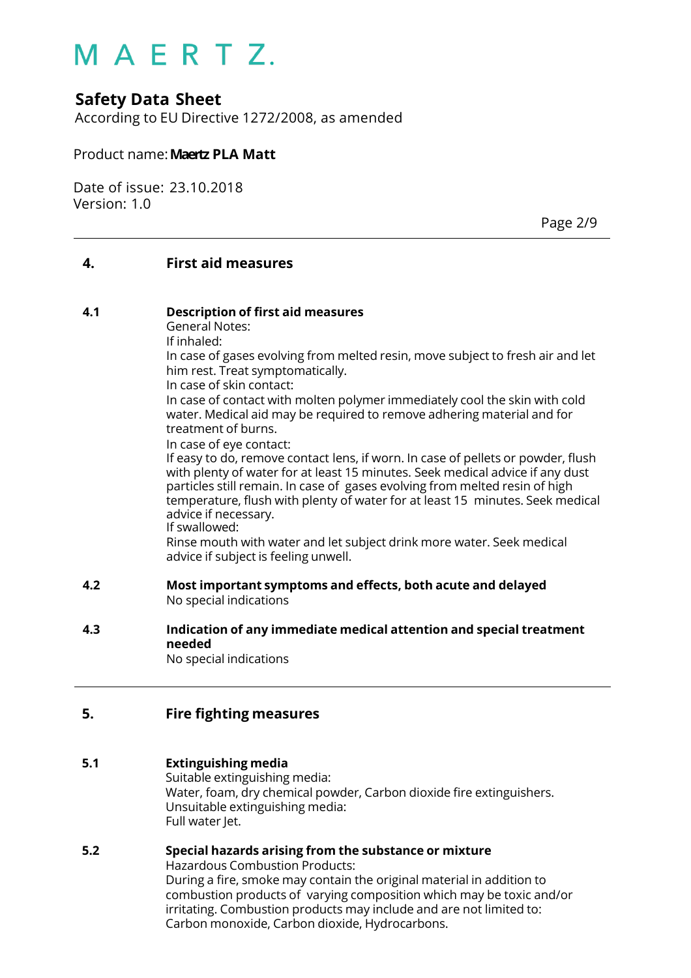### **Safety Data Sheet**

According to EU Directive 1272/2008, as amended

#### Product name:**Maertz PLA Matt**

Date of issue: 23.10.2018 Version: 1.0

Page 2/9

#### **4. First aid measures**

#### **4.1 Description of first aid measures**

General Notes:

If inhaled: In case of gases evolving from melted resin, move subject to fresh air and let

him rest. Treat symptomatically.

In case of skin contact: In case of contact with molten polymer immediately cool the skin with cold water. Medical aid may be required to remove adhering material and for treatment of burns.

In case of eye contact:

If easy to do, remove contact lens, if worn. In case of pellets or powder, flush with plenty of water for at least 15 minutes. Seek medical advice if any dust particles still remain. In case of gases evolving from melted resin of high temperature, flush with plenty of water for at least 15 minutes. Seek medical advice if necessary.

If swallowed:

Rinse mouth with water and let subject drink more water. Seek medical advice if subject is feeling unwell.

- **4.2 Most important symptoms and effects, both acute and delayed** No special indications
- **4.3 Indication of any immediate medical attention and special treatment needed** No special indications

#### **5. Fire fighting measures**

#### **5.1 Extinguishing media**

Suitable extinguishing media: Water, foam, dry chemical powder, Carbon dioxide fire extinguishers. Unsuitable extinguishing media: Full water Jet.

#### **5.2 Special hazards arising from the substance or mixture**

Hazardous Combustion Products: During a fire, smoke may contain the original material in addition to combustion products of varying composition which may be toxic and/or irritating. Combustion products may include and are not limited to: Carbon monoxide, Carbon dioxide, Hydrocarbons.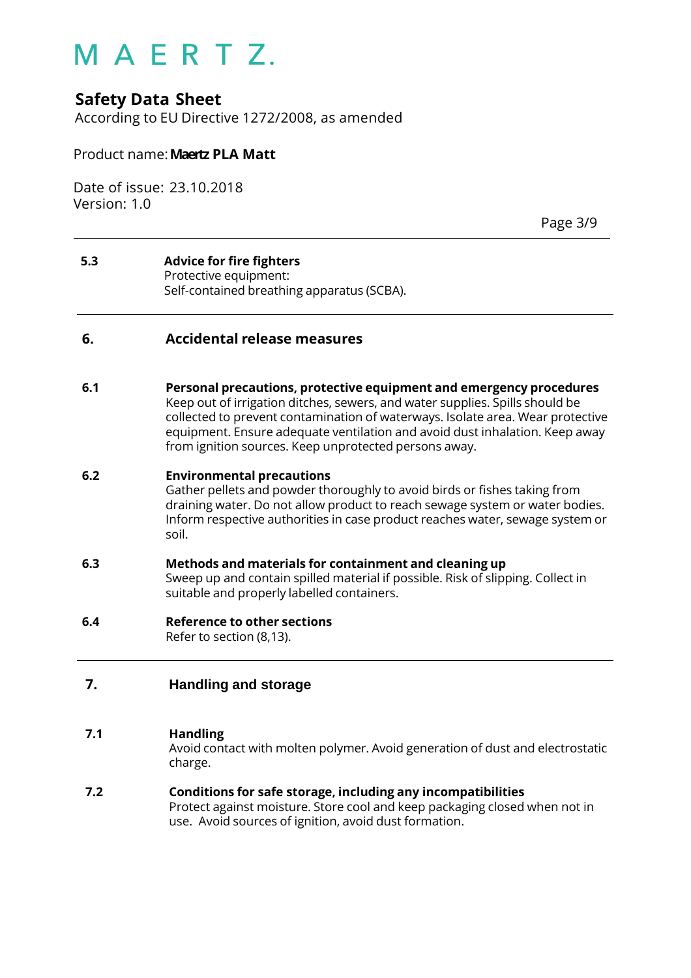### **Safety Data Sheet**

According to EU Directive 1272/2008, as amended

#### Product name:**Maertz PLA Matt**

Date of issue: 23.10.2018 Version: 1.0

Page 3/9

#### **5.3 Advice for fire fighters** Protective equipment: Self-contained breathing apparatus (SCBA).

#### **6. Accidental release measures**

**6.1 Personal precautions, protective equipment and emergency procedures** Keep out of irrigation ditches, sewers, and water supplies. Spills should be collected to prevent contamination of waterways. Isolate area. Wear protective equipment. Ensure adequate ventilation and avoid dust inhalation. Keep away from ignition sources. Keep unprotected persons away.

#### **6.2 Environmental precautions**

Gather pellets and powder thoroughly to avoid birds or fishes taking from draining water. Do not allow product to reach sewage system or water bodies. Inform respective authorities in case product reaches water, sewage system or soil.

#### **6.3 Methods and materials for containment and cleaning up** Sweep up and contain spilled material if possible. Risk of slipping. Collect in suitable and properly labelled containers.

#### **6.4 Reference to other sections**

Refer to section (8,13).

#### **7. Handling and storage**

#### **7.1 Handling**

Avoid contact with molten polymer. Avoid generation of dust and electrostatic charge.

**7.2 Conditions for safe storage, including any incompatibilities** Protect against moisture. Store cool and keep packaging closed when not in use. Avoid sources of ignition, avoid dust formation.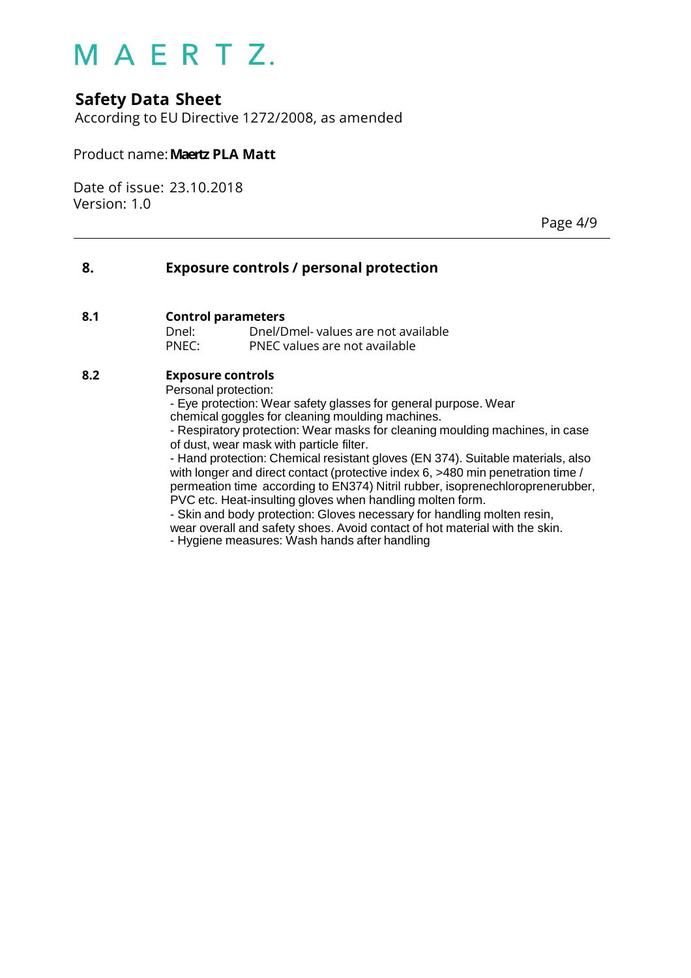## **Safety Data Sheet**

According to EU Directive 1272/2008, as amended

#### Product name:**Maertz PLA Matt**

Date of issue: 23.10.2018 Version: 1.0

Page 4/9

#### **8. Exposure controls / personal protection**

#### **8.1 Control parameters**

Dnel: Dnel/Dmel- values are not available PNEC: PNEC values are not available

#### **8.2 Exposure controls**

Personal protection:

- Eye protection: Wear safety glasses for general purpose. Wear chemical goggles for cleaning moulding machines.

- Respiratory protection: Wear masks for cleaning moulding machines, in case of dust, wear mask with particle filter.

- Hand protection: Chemical resistant gloves (EN 374). Suitable materials, also with longer and direct contact (protective index 6, >480 min penetration time / permeation time according to EN374) Nitril rubber, isoprenechloroprenerubber, PVC etc. Heat-insulting gloves when handling molten form.

- Skin and body protection: Gloves necessary for handling molten resin,

wear overall and safety shoes. Avoid contact of hot material with the skin.

- Hygiene measures: Wash hands after handling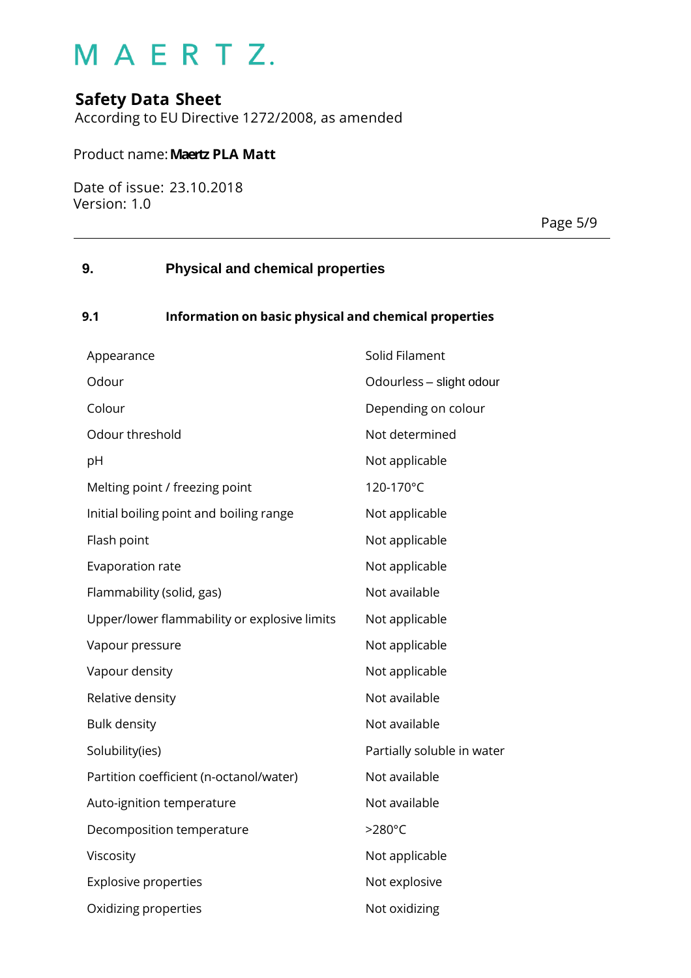## **Safety Data Sheet**

According to EU Directive 1272/2008, as amended

#### Product name:**Maertz PLA Matt**

Date of issue: 23.10.2018 Version: 1.0

Page 5/9

### **9. Physical and chemical properties**

#### **9.1 Information on basic physical and chemical properties**

| Appearance                                   | Solid Filament             |
|----------------------------------------------|----------------------------|
| Odour                                        | Odourless - slight odour   |
| Colour                                       | Depending on colour        |
| Odour threshold                              | Not determined             |
| pH                                           | Not applicable             |
| Melting point / freezing point               | 120-170°C                  |
| Initial boiling point and boiling range      | Not applicable             |
| Flash point                                  | Not applicable             |
| Evaporation rate                             | Not applicable             |
| Flammability (solid, gas)                    | Not available              |
| Upper/lower flammability or explosive limits | Not applicable             |
| Vapour pressure                              | Not applicable             |
| Vapour density                               | Not applicable             |
| Relative density                             | Not available              |
| <b>Bulk density</b>                          | Not available              |
| Solubility(ies)                              | Partially soluble in water |
| Partition coefficient (n-octanol/water)      | Not available              |
| Auto-ignition temperature                    | Not available              |
| Decomposition temperature                    | >280°C                     |
| Viscosity                                    | Not applicable             |
| <b>Explosive properties</b>                  | Not explosive              |
| Oxidizing properties                         | Not oxidizing              |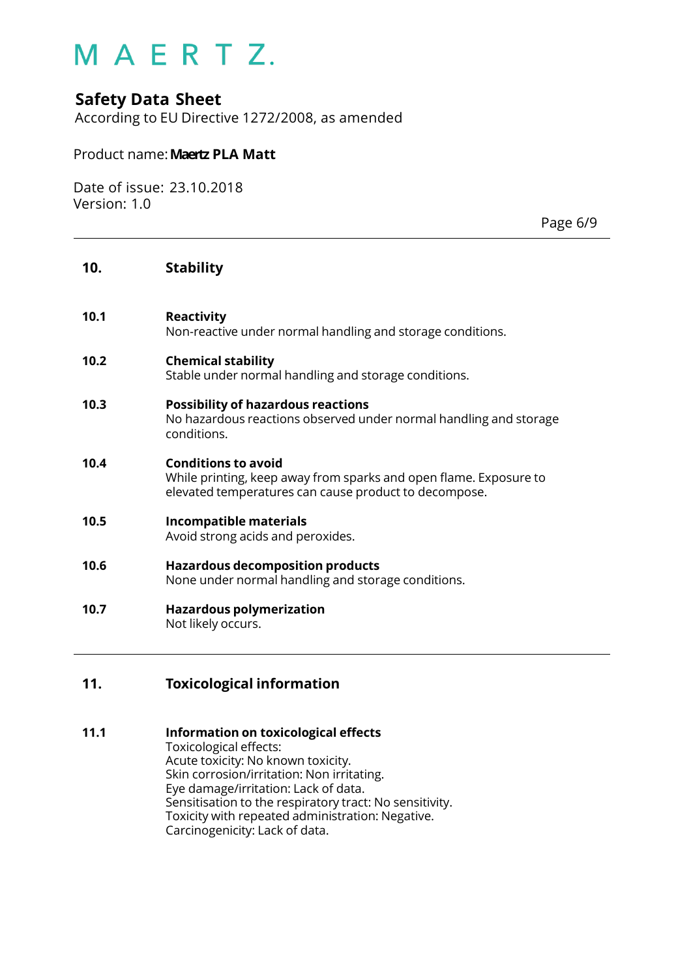### **Safety Data Sheet**

According to EU Directive 1272/2008, as amended

#### Product name:**Maertz PLA Matt**

Date of issue: 23.10.2018 Version: 1.0

Page 6/9

#### **10. Stability**

**10.1 Reactivity**

Non-reactive under normal handling and storage conditions.

#### **10.2 Chemical stability** Stable under normal handling and storage conditions.

**10.3 Possibility of hazardous reactions** No hazardous reactions observed under normal handling and storage conditions.

#### **10.4 Conditions to avoid** While printing, keep away from sparks and open flame. Exposure to elevated temperatures can cause product to decompose.

**10.5 Incompatible materials** Avoid strong acids and peroxides.

#### **10.6 Hazardous decomposition products** None under normal handling and storage conditions.

**10.7 Hazardous polymerization** Not likely occurs.

#### **11. Toxicological information**

#### **11.1 Information on toxicological effects**

Toxicological effects: Acute toxicity: No known toxicity. Skin corrosion/irritation: Non irritating. Eye damage/irritation: Lack of data. Sensitisation to the respiratory tract: No sensitivity. Toxicity with repeated administration: Negative. Carcinogenicity: Lack of data.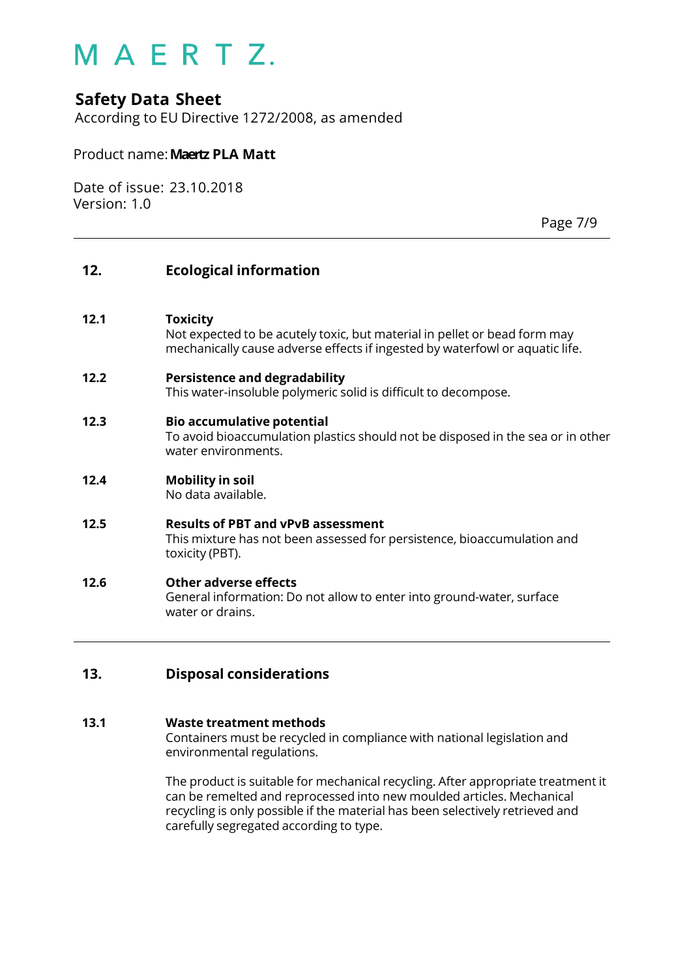### **Safety Data Sheet**

According to EU Directive 1272/2008, as amended

#### Product name:**Maertz PLA Matt**

Date of issue: 23.10.2018 Version: 1.0

Page 7/9

#### **12. Ecological information**

#### **12.1 Toxicity**

Not expected to be acutely toxic, but material in pellet or bead form may mechanically cause adverse effects if ingested by waterfowl or aquatic life.

#### **12.2 Persistence and degradability**

This water-insoluble polymeric solid is difficult to decompose.

#### **12.3 Bio accumulative potential**

To avoid bioaccumulation plastics should not be disposed in the sea or in other water environments.

#### **12.4 Mobility in soil**

No data available.

#### **12.5 Results of PBT and vPvB assessment** This mixture has not been assessed for persistence, bioaccumulation and toxicity (PBT).

#### **12.6 Other adverse effects** General information: Do not allow to enter into ground-water, surface water or drains.

#### **13. Disposal considerations**

#### **13.1 Waste treatment methods**

Containers must be recycled in compliance with national legislation and environmental regulations.

The product is suitable for mechanical recycling. After appropriate treatment it can be remelted and reprocessed into new moulded articles. Mechanical recycling is only possible if the material has been selectively retrieved and carefully segregated according to type.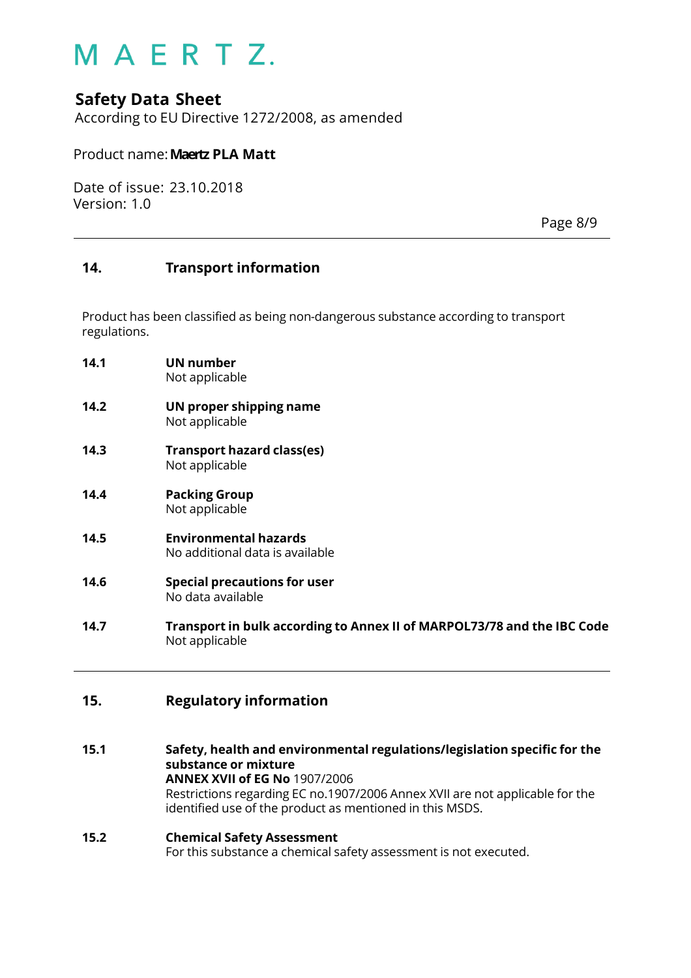### **Safety Data Sheet**

According to EU Directive 1272/2008, as amended

#### Product name:**Maertz PLA Matt**

Date of issue: 23.10.2018 Version: 1.0

Page 8/9

#### **14. Transport information**

Product has been classified as being non-dangerous substance according to transport regulations.

- **14.1 UN number** Not applicable
- **14.2 UN proper shipping name** Not applicable
- **14.3 Transport hazard class(es)** Not applicable
- **14.4 Packing Group** Not applicable
- **14.5 Environmental hazards** No additional data is available
- **14.6 Special precautions for user** No data available
- **14.7 Transport in bulk according to Annex II of MARPOL73/78 and the IBC Code** Not applicable

#### **15. Regulatory information**

**15.1 Safety, health and environmental regulations/legislation specific for the substance or mixture ANNEX XVII of EG No** 1907/2006 Restrictions regarding EC no.1907/2006 Annex XVII are not applicable for the identified use of the product as mentioned in this MSDS.

## **15.2 Chemical Safety Assessment**

For this substance a chemical safety assessment is not executed.